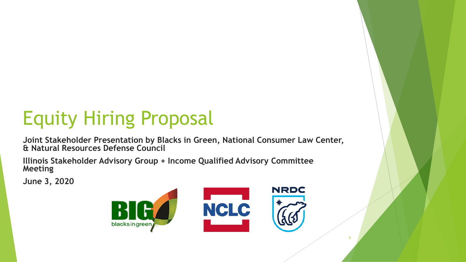# Equity Hiring Proposal

**Joint Stakeholder Presentation by Blacks in Green, National Consumer Law Center, & Natural Resources Defense Council**

**Illinois Stakeholder Advisory Group + Income Qualified Advisory Committee Meeting** 

**June 3, 2020**

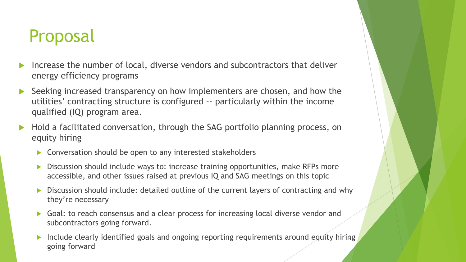### Proposal

- Increase the number of local, diverse vendors and subcontractors that deliver energy efficiency programs
- Seeking increased transparency on how implementers are chosen, and how the utilities' contracting structure is configured -- particularly within the income qualified (IQ) program area.
- Hold a facilitated conversation, through the SAG portfolio planning process, on equity hiring
	- Conversation should be open to any interested stakeholders
	- Discussion should include ways to: increase training opportunities, make RFPs more accessible, and other issues raised at previous IQ and SAG meetings on this topic
	- Discussion should include: detailed outline of the current layers of contracting and why they're necessary
	- Goal: to reach consensus and a clear process for increasing local diverse vendor and subcontractors going forward.
	- Include clearly identified goals and ongoing reporting requirements around equity hiring going forward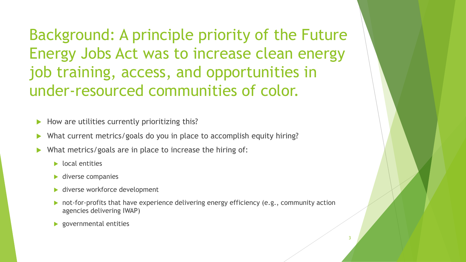Background: A principle priority of the Future Energy Jobs Act was to increase clean energy job training, access, and opportunities in under-resourced communities of color.

How are utilities currently prioritizing this?

- What current metrics/goals do you in place to accomplish equity hiring?
- What metrics/goals are in place to increase the hiring of:
	- $\blacktriangleright$  local entities
	- ▶ diverse companies
	- ▶ diverse workforce development
	- not-for-profits that have experience delivering energy efficiency (e.g., community action agencies delivering IWAP)
	- governmental entities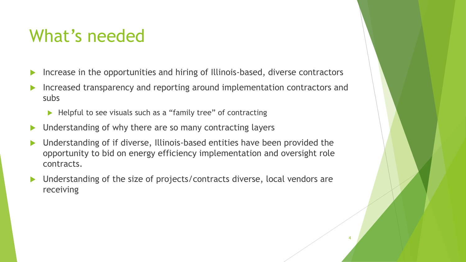### What's needed

- Increase in the opportunities and hiring of Illinois-based, diverse contractors
- Increased transparency and reporting around implementation contractors and subs
	- ▶ Helpful to see visuals such as a "family tree" of contracting
- Understanding of why there are so many contracting layers
- Understanding of if diverse, Illinois-based entities have been provided the opportunity to bid on energy efficiency implementation and oversight role contracts.
- Understanding of the size of projects/contracts diverse, local vendors are receiving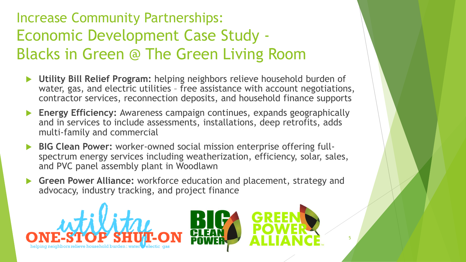#### Increase Community Partnerships: Economic Development Case Study - Blacks in Green @ The Green Living Room

- **Utility Bill Relief Program:** helping neighbors relieve household burden of water, gas, and electric utilities – free assistance with account negotiations, contractor services, reconnection deposits, and household finance supports
- **Energy Efficiency:** Awareness campaign continues, expands geographically and in services to include assessments, installations, deep retrofits, adds multi-family and commercial
- **BIG Clean Power:** worker-owned social mission enterprise offering fullspectrum energy services including weatherization, efficiency, solar, sales, and PVC panel assembly plant in Woodlawn
- **Green Power Alliance:** workforce education and placement, strategy and advocacy, industry tracking, and project finance

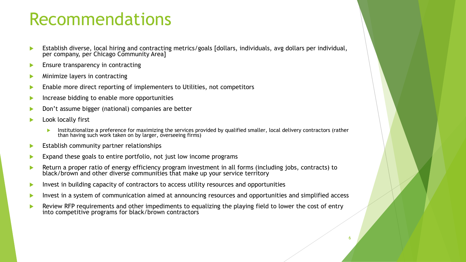#### Recommendations

- Establish diverse, local hiring and contracting metrics/goals [dollars, individuals, avg dollars per individual, per company, per Chicago Community Area]
- Ensure transparency in contracting
- Minimize layers in contracting
- Enable more direct reporting of implementers to Utilities, not competitors
- Increase bidding to enable more opportunities
- Don't assume bigger (national) companies are better
- Look locally first
	- Institutionalize a preference for maximizing the services provided by qualified smaller, local delivery contractors (rather than having such work taken on by larger, overseeing firms)
- Establish community partner relationships
- Expand these goals to entire portfolio, not just low income programs
- Return a proper ratio of energy efficiency program investment in all forms (including jobs, contracts) to black/brown and other diverse communities that make up your service territory
- Invest in building capacity of contractors to access utility resources and opportunities
- Invest in a system of communication aimed at announcing resources and opportunities and simplified access
- Review RFP requirements and other impediments to equalizing the playing field to lower the cost of entry into competitive programs for black/brown contractors